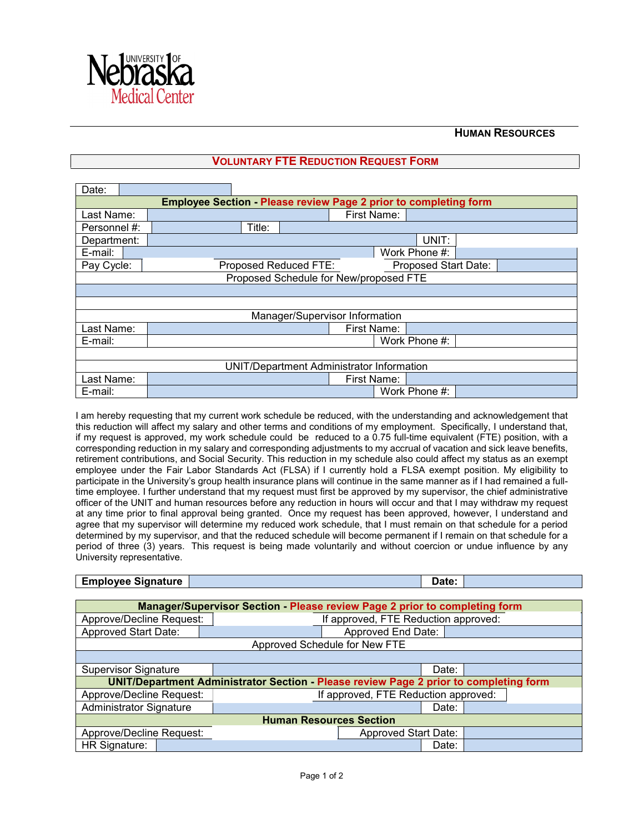

## **HUMAN RESOURCES**

## **VOLUNTARY FTE REDUCTION REQUEST FORM**

| Date:                                                                   |                                                      |  |  |  |  |  |
|-------------------------------------------------------------------------|------------------------------------------------------|--|--|--|--|--|
| <b>Employee Section - Please review Page 2 prior to completing form</b> |                                                      |  |  |  |  |  |
| Last Name:                                                              | First Name:                                          |  |  |  |  |  |
| Personnel #:                                                            | Title:                                               |  |  |  |  |  |
| Department:                                                             | UNIT:                                                |  |  |  |  |  |
| E-mail:                                                                 | Work Phone #:                                        |  |  |  |  |  |
| Pay Cycle:                                                              | Proposed Reduced FTE:<br><b>Proposed Start Date:</b> |  |  |  |  |  |
| Proposed Schedule for New/proposed FTE                                  |                                                      |  |  |  |  |  |
|                                                                         |                                                      |  |  |  |  |  |
|                                                                         |                                                      |  |  |  |  |  |
| Manager/Supervisor Information                                          |                                                      |  |  |  |  |  |
| Last Name:                                                              | First Name:                                          |  |  |  |  |  |
| E-mail:                                                                 | Work Phone #:                                        |  |  |  |  |  |
|                                                                         |                                                      |  |  |  |  |  |
| <b>UNIT/Department Administrator Information</b>                        |                                                      |  |  |  |  |  |
| Last Name:                                                              | First Name:                                          |  |  |  |  |  |
| E-mail:                                                                 | Work Phone #:                                        |  |  |  |  |  |

I am hereby requesting that my current work schedule be reduced, with the understanding and acknowledgement that this reduction will affect my salary and other terms and conditions of my employment. Specifically, I understand that, if my request is approved, my work schedule could be reduced to a 0.75 full-time equivalent (FTE) position, with a corresponding reduction in my salary and corresponding adjustments to my accrual of vacation and sick leave benefits, retirement contributions, and Social Security. This reduction in my schedule also could affect my status as an exempt employee under the Fair Labor Standards Act (FLSA) if I currently hold a FLSA exempt position. My eligibility to participate in the University's group health insurance plans will continue in the same manner as if I had remained a fulltime employee. I further understand that my request must first be approved by my supervisor, the chief administrative officer of the UNIT and human resources before any reduction in hours will occur and that I may withdraw my request at any time prior to final approval being granted. Once my request has been approved, however, I understand and agree that my supervisor will determine my reduced work schedule, that I must remain on that schedule for a period determined by my supervisor, and that the reduced schedule will become permanent if I remain on that schedule for a period of three (3) years. This request is being made voluntarily and without coercion or undue influence by any University representative.

## **Employee Signature Date: Date: Date: Date: Date: Date: Date: Date: Date: Date: Date: Date: Date: Date: Date: Date: Date: Date: Date: Date: Date: Date: Date: Date: Date:**

| <b>Manager/Supervisor Section - Please review Page 2 prior to completing form</b>     |                                      |                             |       |  |  |  |  |
|---------------------------------------------------------------------------------------|--------------------------------------|-----------------------------|-------|--|--|--|--|
| Approve/Decline Request:                                                              | If approved, FTE Reduction approved: |                             |       |  |  |  |  |
| <b>Approved Start Date:</b>                                                           | Approved End Date:                   |                             |       |  |  |  |  |
| Approved Schedule for New FTE                                                         |                                      |                             |       |  |  |  |  |
|                                                                                       |                                      |                             |       |  |  |  |  |
| <b>Supervisor Signature</b>                                                           |                                      |                             | Date: |  |  |  |  |
| UNIT/Department Administrator Section - Please review Page 2 prior to completing form |                                      |                             |       |  |  |  |  |
| Approve/Decline Request:                                                              | If approved, FTE Reduction approved: |                             |       |  |  |  |  |
| Administrator Signature                                                               |                                      |                             | Date: |  |  |  |  |
| <b>Human Resources Section</b>                                                        |                                      |                             |       |  |  |  |  |
| Approve/Decline Request:                                                              |                                      | <b>Approved Start Date:</b> |       |  |  |  |  |
| HR Signature:                                                                         |                                      |                             | Date: |  |  |  |  |